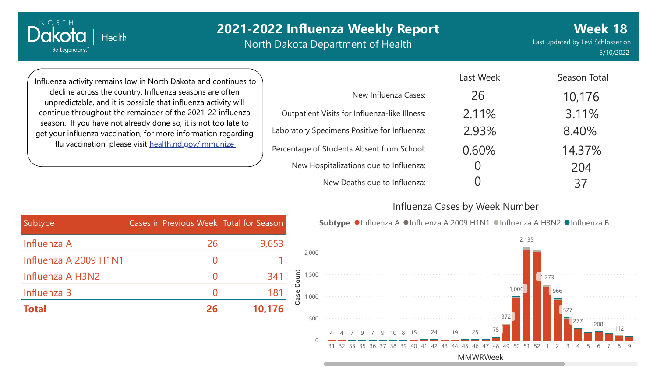North Dakota Department of Health

Last updated by Levi Schlosser on 5/10/2022 **Week 18**

Influenza activity remains low in North Dakota and continues to decline across the country. Influenza seasons are often unpredictable, and it is possible that influenza activity will continue throughout the remainder of the 2021-22 influenza season. If you have not already done so, it is not too late to get your influenza vaccination; for more information regarding flu vaccination, please visit [health.nd.gov/immunize](http://health.nd.gov/immunize)

Health

NORTH Dakota

Be Legendary."

|                                               | Last Week | Season Total |
|-----------------------------------------------|-----------|--------------|
| New Influenza Cases:                          | 26        | 10,176       |
| Outpatient Visits for Influenza-like Illness: | 2.11%     | 3.11%        |
| Laboratory Specimens Positive for Influenza:  | 2.93%     | 8.40%        |
| Percentage of Students Absent from School:    | 0.60%     | 14.37%       |
| New Hospitalizations due to Influenza:        |           | 204          |
| New Deaths due to Influenza:                  |           | 37           |

### Influenza Cases by Week Number



| Subtype               | Cases in Previous Week Total for Season |        |
|-----------------------|-----------------------------------------|--------|
| Influenza A           | 26                                      | 9,653  |
| Influenza A 2009 H1N1 |                                         |        |
| Influenza A H3N2      |                                         | 341    |
| Influenza B           |                                         | 181    |
| <b>Total</b>          | 26                                      | 10,176 |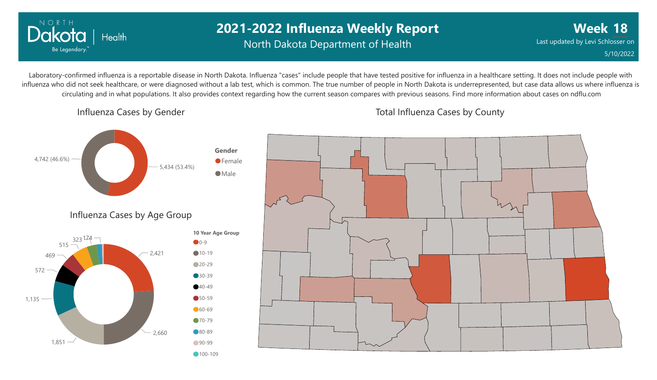

Influenza Cases by Gender

# Power BI Desktop **2021-2022 Influenza Weekly Report**

North Dakota Department of Health

**Week 18** Last updated by Levi Schlosser on 5/10/2022

Laboratory-confirmed influenza is a reportable disease in North Dakota. Influenza "cases" include people that have tested positive for influenza in a healthcare setting. It does not include people with influenza who did not seek healthcare, or were diagnosed without a lab test, which is common. The true number of people in North Dakota is underrepresented, but case data allows us where influenza is circulating and in what populations. It also provides context regarding how the current season compares with previous seasons. Find more information about cases on ndflu.com



Total Influenza Cases by County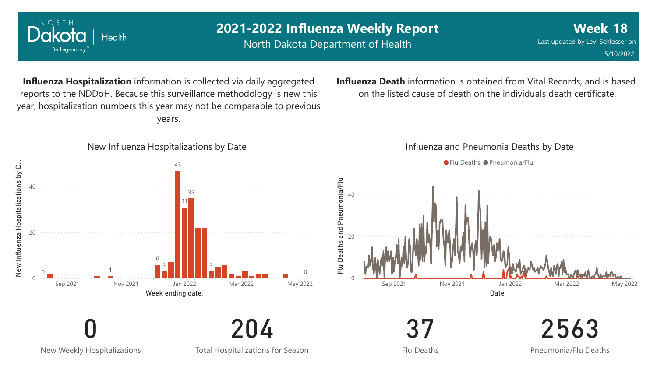

North Dakota Department of Health

2563

Pneumonia/Flu Deaths

**Influenza Hospitalization** information is collected via daily aggregated reports to the NDDoH. Because this surveillance methodology is new this year, hospitalization numbers this year may not be comparable to previous years.



### **Influenza Death** information is obtained from Vital Records, and is based on the listed cause of death on the individuals death certificate.

#### Influenza and Pneumonia Deaths by Date



New Weekly Hospitalizations

0

Total Hospitalizations for Season

204

Flu Deaths

37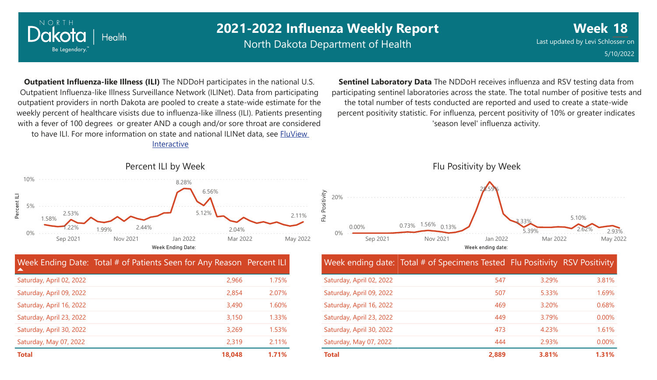

North Dakota Department of Health

**Week 18** Last updated by Levi Schlosser on 5/10/2022

**Outpatient Influenza-like Illness (ILI)** The NDDoH participates in the national U.S. Outpatient Influenza-like Illness Surveillance Network (ILINet). Data from participating outpatient providers in north Dakota are pooled to create a state-wide estimate for the weekly percent of healthcare visists due to influenza-like illness (ILI). Patients presenting with a fever of 100 degrees or greater AND a cough and/or sore throat are considered to have ILI. For more information [on state and national ILINet data, see FluView](http://fluview%20interactive/) Interactive

**Sentinel Laboratory Data** The NDDoH receives influenza and RSV testing data from participating sentinel laboratories across the state. The total number of positive tests and the total number of tests conducted are reported and used to create a state-wide percent positivity statistic. For influenza, percent positivity of 10% or greater indicates 'season level' influenza activity.



#### Week ending date: Total # of Specimens Tested Flu Positivity RSV Positivity

| Saturday, April 02, 2022 | 547   | 3.29% | 3.81% |
|--------------------------|-------|-------|-------|
| Saturday, April 09, 2022 | 507   | 5.33% | 1.69% |
| Saturday, April 16, 2022 | 469   | 3.20% | 0.68% |
| Saturday, April 23, 2022 | 449   | 3.79% | 0.00% |
| Saturday, April 30, 2022 | 473   | 4.23% | 1.61% |
| Saturday, May 07, 2022   | 444   | 2.93% | 0.00% |
| Total                    | 2,889 | 3.81% | 1.31% |

## Percent ILI by Week



|                          | Week Ending Date: Total # of Patients Seen for Any Reason Percent ILI |       |
|--------------------------|-----------------------------------------------------------------------|-------|
| Saturday, April 02, 2022 | 2,966                                                                 | 1.75% |
| Saturday, April 09, 2022 | 2,854                                                                 | 2.07% |
| Saturday, April 16, 2022 | 3,490                                                                 | 1.60% |
| Saturday, April 23, 2022 | 3,150                                                                 | 1.33% |
| Saturday, April 30, 2022 | 3,269                                                                 | 1.53% |
| Saturday, May 07, 2022   | 2,319                                                                 | 2.11% |
| <b>Total</b>             | 18,048                                                                | 1.71% |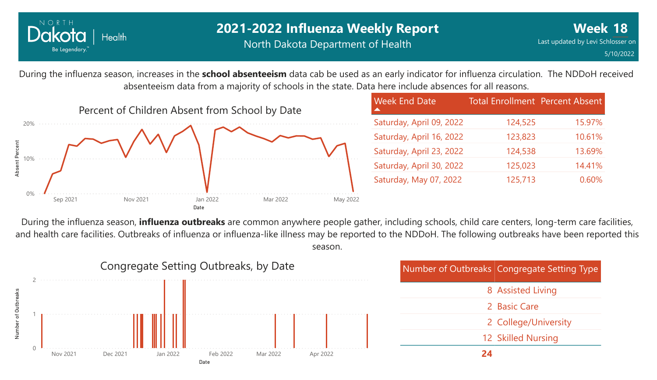

During the influenza season, increases in the **school absenteeism** data cab be used as an early indicator for influenza circulation. The NDDoH received absenteeism data from a majority of schools in the state. Data here include absences for all reasons.



| <b>Week End Date</b>     | <b>Total Enrollment Percent Absent</b> |        |
|--------------------------|----------------------------------------|--------|
| Saturday, April 09, 2022 | 124,525                                | 15.97% |
| Saturday, April 16, 2022 | 123,823                                | 10.61% |
| Saturday, April 23, 2022 | 124,538                                | 13.69% |
| Saturday, April 30, 2022 | 125,023                                | 14.41% |
| Saturday, May 07, 2022   | 125,713                                | 0.60%  |

During the influenza season, **influenza outbreaks** are common anywhere people gather, including schools, child care centers, long-term care facilities, and health care facilities. Outbreaks of influenza or influenza-like illness may be reported to the NDDoH. The following outbreaks have been reported this season.

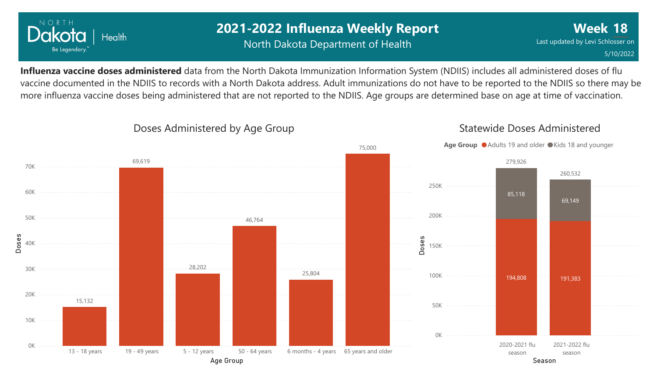

## Power BI Desktop **2021-2022 Influenza Weekly Report** North Dakota Department of Health

**Influenza vaccine doses administered** data from the North Dakota Immunization Information System (NDIIS) includes all administered doses of flu vaccine documented in the NDIIS to records with a North Dakota address. Adult immunizations do not have to be reported to the NDIIS so there may be more influenza vaccine doses being administered that are not reported to the NDIIS. Age groups are determined base on age at time of vaccination.



## Doses Administered by Age Group

Statewide Doses Administered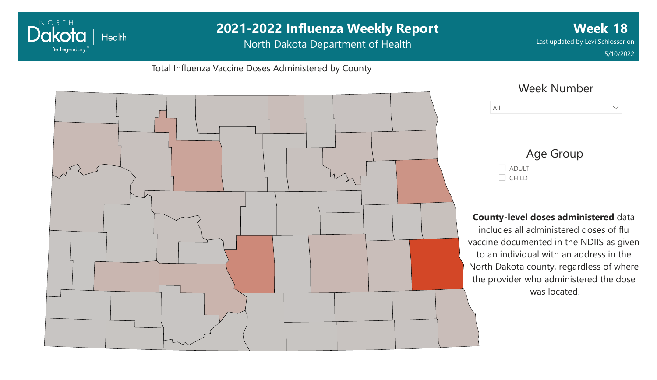#### Power BI Desktop **2021-2022 Influenza Weekly Report** NORTH **Week 18** Dakota | Health Last updated by Levi Schlosser on North Dakota Department of Health Be Legendary." 5/10/2022Total Influenza Vaccine Doses Administered by County Week Number All  $\vee$



### Age Group ADULT  $\Box$  CHILD

#### **County-level doses administered** data

includes all administered doses of flu vaccine documented in the NDIIS as given to an individual with an address in the North Dakota county, regardless of where the provider who administered the dose was located.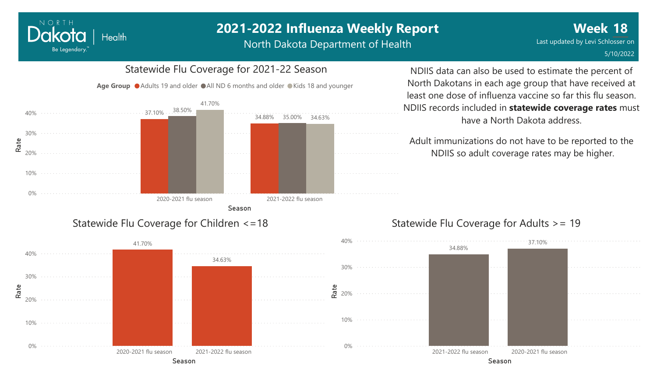North Dakota Department of Health

#### 0% 10% 20% 30% 40% Season Rate 2020-2021 flu season 2021-2022 flu season 37.10% 34.88% 35.00% 38.50% 41.70% 34.63% Age Group  $\bullet$  Adults 19 and older  $\bullet$  All ND 6 months and older  $\bullet$  Kids 18 and younger

Statewide Flu Coverage for 2021-22 Season

### Statewide Flu Coverage for Children <=18



NDIIS data can also be used to estimate the percent of North Dakotans in each age group that have received at least one dose of influenza vaccine so far this flu season. NDIIS records included in **statewide coverage rates** must have a North Dakota address.

Adult immunizations do not have to be reported to the NDIIS so adult coverage rates may be higher.

## Statewide Flu Coverage for Adults >= 19